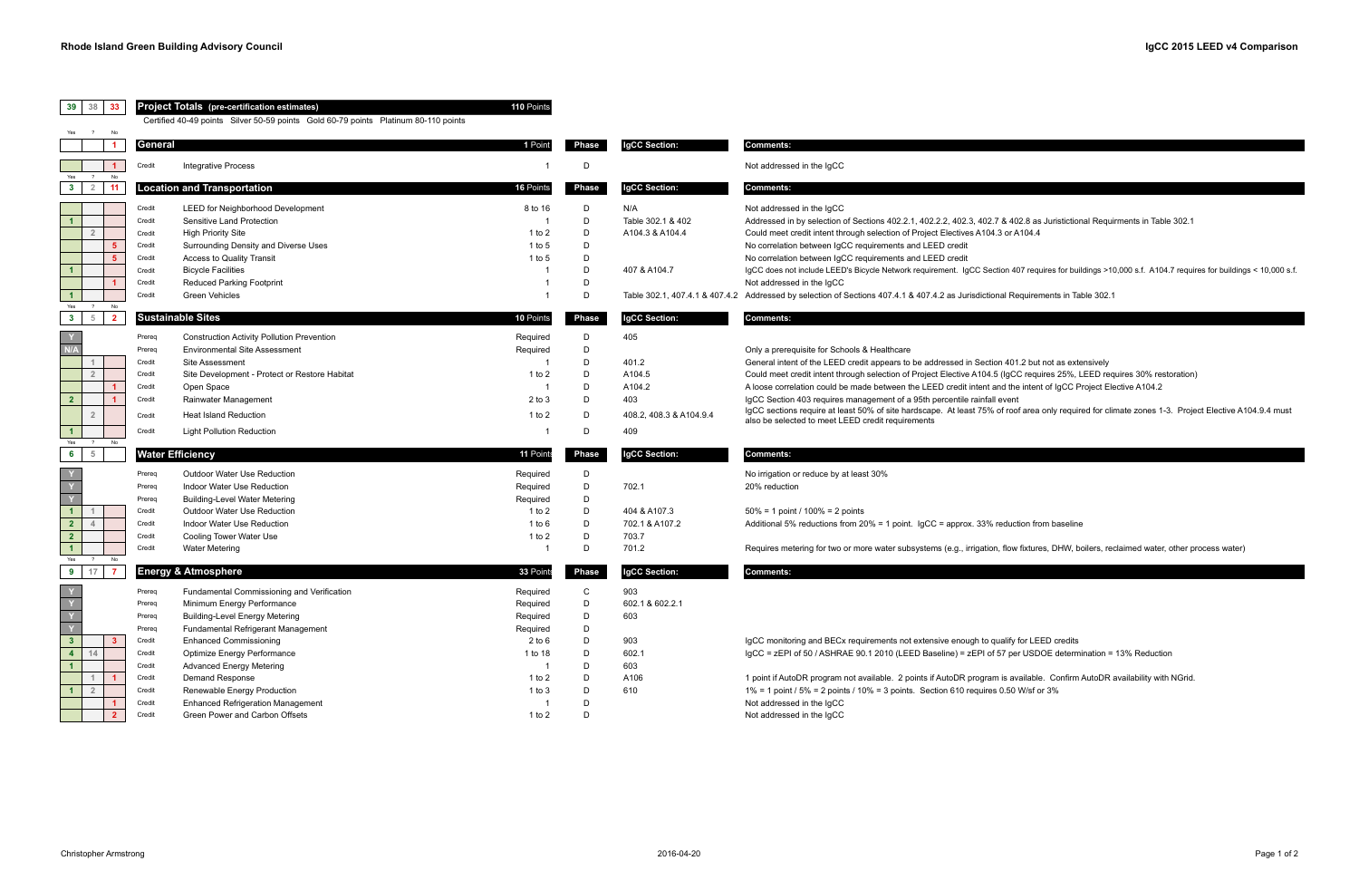8 402.8 as Juristictional Requirments in Table 302.1

ion 407 requires for buildings >10,000 s.f. A104.7 requires for buildings < 10,000 s.f.

<sup>1</sup> al Requirements in Table 302.1

**1** 401.2 but not as extensively

(IgCC requires 25%, LEED requires 30% restoration)

**1** A the intent of IgCC Project Elective A104.2

f roof area only required for climate zones 1-3. Project Elective A104.9.4 must

<sub>1</sub> flow fixtures, DHW, boilers, reclaimed water, other process water)

**4** Freedit Optimize To 13 Depremination =  $13\%$  Reduction

**1** is available. Confirm AutoDR availability with NGrid.

| 39<br>38<br>33                                                                                                                                              | <b>Project Totals</b> (pre-certification estimates)<br>Certified 40-49 points Silver 50-59 points Gold 60-79 points Platinum 80-110 points |                                                                                                                                                                                                                                                                                                                                                                                            |                                                                                                             |                                                     |                                                                           |                                                                                                                                                                                                                                                                                                                                                                                                                                                                                                                                                                                                |  |
|-------------------------------------------------------------------------------------------------------------------------------------------------------------|--------------------------------------------------------------------------------------------------------------------------------------------|--------------------------------------------------------------------------------------------------------------------------------------------------------------------------------------------------------------------------------------------------------------------------------------------------------------------------------------------------------------------------------------------|-------------------------------------------------------------------------------------------------------------|-----------------------------------------------------|---------------------------------------------------------------------------|------------------------------------------------------------------------------------------------------------------------------------------------------------------------------------------------------------------------------------------------------------------------------------------------------------------------------------------------------------------------------------------------------------------------------------------------------------------------------------------------------------------------------------------------------------------------------------------------|--|
| $\overline{?}$<br>No<br>$\overline{1}$                                                                                                                      | General                                                                                                                                    |                                                                                                                                                                                                                                                                                                                                                                                            | 1 Point                                                                                                     | Phase                                               | IgCC Section:                                                             | Comments:                                                                                                                                                                                                                                                                                                                                                                                                                                                                                                                                                                                      |  |
|                                                                                                                                                             | Credit                                                                                                                                     | <b>Integrative Process</b>                                                                                                                                                                                                                                                                                                                                                                 |                                                                                                             | D                                                   |                                                                           | Not addressed in the IgCC                                                                                                                                                                                                                                                                                                                                                                                                                                                                                                                                                                      |  |
| No<br>$\ddot{?}$<br>$\overline{2}$<br>11<br>$3^{\circ}$                                                                                                     |                                                                                                                                            | <b>Location and Transportation</b>                                                                                                                                                                                                                                                                                                                                                         | 16 Points                                                                                                   | Phase                                               | IgCC Section:                                                             | <b>Comments:</b>                                                                                                                                                                                                                                                                                                                                                                                                                                                                                                                                                                               |  |
| $\mathbf{1}$<br>$\overline{2}$<br>5<br>$\mathbf{1}$<br>$\mathbf{1}$<br>Yes<br>$\overline{?}$<br>No                                                          | Credit<br>Credit<br>Credit<br>Credit<br>Credit<br>Credit<br>Credit<br>Credit                                                               | <b>LEED for Neighborhood Development</b><br>Sensitive Land Protection<br><b>High Priority Site</b><br>Surrounding Density and Diverse Uses<br>Access to Quality Transit<br><b>Bicycle Facilities</b><br><b>Reduced Parking Footprint</b><br>Green Vehicles                                                                                                                                 | 8 to 16<br>- 1<br>1 to $2$<br>1 to $5$<br>$1$ to 5                                                          | D<br>D<br>D<br>D<br>D<br>D<br>D<br>D                | N/A<br>Table 302.1 & 402<br>A104.3 & A104.4<br>407 & A104.7               | Not addressed in the IgCC<br>Addressed in by selection of Sections 402.2.1, 402.2.2, 402.3, 402.7 & 402.8 as Juristiction<br>Could meet credit intent through selection of Project Electives A104.3 or A104.4<br>No correlation between IgCC requirements and LEED credit<br>No correlation between IgCC requirements and LEED credit<br>IgCC does not include LEED's Bicycle Network requirement. IgCC Section 407 requires for buil<br>Not addressed in the IgCC<br>Table 302.1, 407.4.1 & 407.4.2 Addressed by selection of Sections 407.4.1 & 407.4.2 as Jurisdictional Requirements in Ta |  |
| $\overline{5}$<br>$\overline{2}$<br>$3^{\circ}$                                                                                                             |                                                                                                                                            | <b>Sustainable Sites</b>                                                                                                                                                                                                                                                                                                                                                                   | 10 Points                                                                                                   | Phase                                               | IgCC Section:                                                             | Comments:                                                                                                                                                                                                                                                                                                                                                                                                                                                                                                                                                                                      |  |
| N/A<br>$\overline{1}$<br>$\overline{2}$<br>2 <sub>2</sub><br>$\overline{2}$<br>$\blacktriangleleft$<br>$\overline{?}$<br>No                                 | Prereq<br>Prereq<br>Credit<br>Credit<br>Credit<br>Credit<br>Credit<br>Credit                                                               | <b>Construction Activity Pollution Prevention</b><br><b>Environmental Site Assessment</b><br>Site Assessment<br>Site Development - Protect or Restore Habitat<br>Open Space<br>Rainwater Management<br><b>Heat Island Reduction</b><br><b>Light Pollution Reduction</b>                                                                                                                    | Required<br>Required<br>1 to $2$<br>$2$ to $3$<br>1 to $2$<br>-1                                            | D<br>D<br>D<br>D<br>D<br>D<br>D<br>D                | 405<br>401.2<br>A104.5<br>A104.2<br>403<br>408.2, 408.3 & A104.9.4<br>409 | Only a prerequisite for Schools & Healthcare<br>General intent of the LEED credit appears to be addressed in Section 401.2 but not as exte<br>Could meet credit intent through selection of Project Elective A104.5 (IgCC requires 25%, L<br>A loose correlation could be made between the LEED credit intent and the intent of IgCC P<br>IgCC Section 403 requires management of a 95th percentile rainfall event<br>IgCC sections require at least 50% of site hardscape. At least 75% of roof area only requir<br>also be selected to meet LEED credit requirements                         |  |
| $5\phantom{.0}$<br>6                                                                                                                                        |                                                                                                                                            | <b>Water Efficiency</b>                                                                                                                                                                                                                                                                                                                                                                    | 11 Points                                                                                                   | Phase                                               | IgCC Section:                                                             | Comments:                                                                                                                                                                                                                                                                                                                                                                                                                                                                                                                                                                                      |  |
| Y.<br>Y.<br>$\overline{\mathbf{Y}}$<br>$\blacktriangleleft$<br>2 <sup>7</sup><br>$\overline{4}$<br>2 <sub>2</sub><br>$\mathbf{1}$<br>Yes<br>$\cdot$ ?<br>No | Prereq<br>Prereq<br>Prereq<br>Credit<br>Credit<br>Credit<br>Credit                                                                         | <b>Outdoor Water Use Reduction</b><br>Indoor Water Use Reduction<br><b>Building-Level Water Metering</b><br>Outdoor Water Use Reduction<br>Indoor Water Use Reduction<br>Cooling Tower Water Use<br><b>Water Metering</b>                                                                                                                                                                  | Required<br>Required<br>Required<br>1 to $2$<br>1 to $6$<br>1 to $2$<br>-1                                  | D<br>D<br>D<br>D<br>D<br>D<br>D                     | 702.1<br>404 & A107.3<br>702.1 & A107.2<br>703.7<br>701.2                 | No irrigation or reduce by at least 30%<br>20% reduction<br>$50\% = 1$ point / 100% = 2 points<br>Additional 5% reductions from 20% = 1 point. IgCC = approx. 33% reduction from baseline<br>Requires metering for two or more water subsystems (e.g., irrigation, flow fixtures, DHW, be                                                                                                                                                                                                                                                                                                      |  |
| 17<br>9<br>-7                                                                                                                                               |                                                                                                                                            | <b>Energy &amp; Atmosphere</b>                                                                                                                                                                                                                                                                                                                                                             | 33 Point                                                                                                    | Phase                                               | IgCC Section:                                                             | Comments:                                                                                                                                                                                                                                                                                                                                                                                                                                                                                                                                                                                      |  |
| Y.<br>Y.<br>Y<br>3 <sup>°</sup><br>3 <sup>2</sup><br>4 <sup>1</sup><br>14<br>$\mathbf{1}$<br>$\mathbf{1}$<br>$\overline{2}$<br>$\mathbf{1}$<br>$\mathbf{2}$ | Prereq<br>Prereq<br>Prereq<br>Prereq<br>Credit<br>Credit<br>Credit<br>Credit<br>Credit<br>Credit<br>Credit                                 | Fundamental Commissioning and Verification<br>Minimum Energy Performance<br><b>Building-Level Energy Metering</b><br>Fundamental Refrigerant Management<br><b>Enhanced Commissioning</b><br>Optimize Energy Performance<br><b>Advanced Energy Metering</b><br>Demand Response<br>Renewable Energy Production<br><b>Enhanced Refrigeration Management</b><br>Green Power and Carbon Offsets | Required<br>Required<br>Required<br>Required<br>$2$ to $6$<br>1 to 18<br>1 to $2$<br>$1$ to $3$<br>1 to $2$ | C<br>D<br>D<br>D<br>D<br>D<br>D<br>D<br>D<br>D<br>D | 903<br>602.1 & 602.2.1<br>603<br>903<br>602.1<br>603<br>A106<br>610       | IgCC monitoring and BECx requirements not extensive enough to qualify for LEED credits<br>IgCC = zEPI of 50 / ASHRAE 90.1 2010 (LEED Baseline) = zEPI of 57 per USDOE determ<br>1 point if AutoDR program not available. 2 points if AutoDR program is available. Confirm.<br>$1\%$ = 1 point / 5% = 2 points / 10% = 3 points. Section 610 requires 0.50 W/sf or 3%<br>Not addressed in the IgCC<br>Not addressed in the IgCC                                                                                                                                                                 |  |